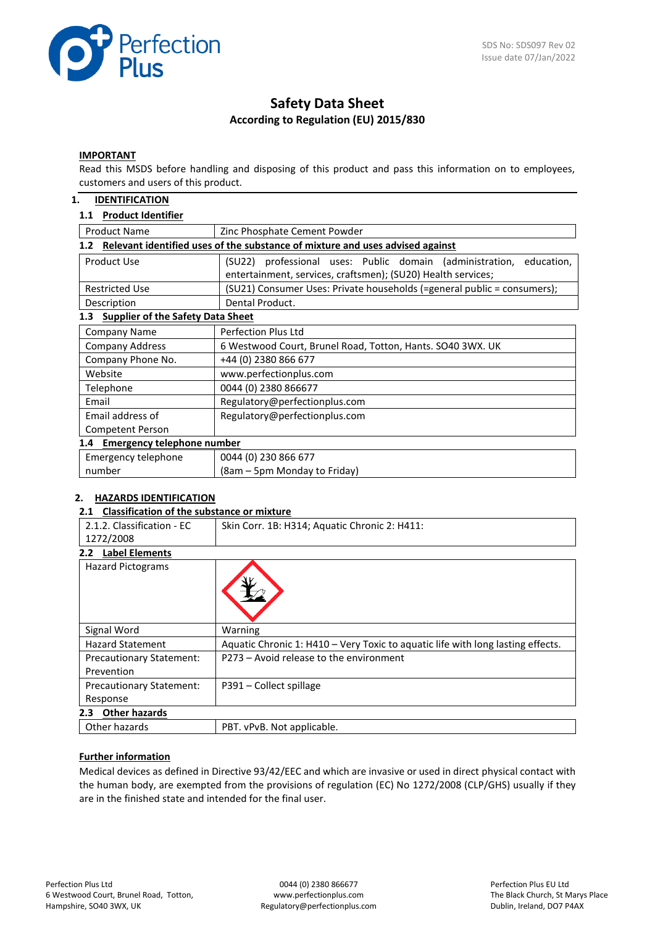

# **Safety Data Sheet According to Regulation (EU) 2015/830**

#### **IMPORTANT**

Read this MSDS before handling and disposing of this product and pass this information on to employees, customers and users of this product.

### **1. IDENTIFICATION**

## **1.1 Product Identifier**

| <b>Product Name</b>                                                                  | Zinc Phosphate Cement Powder                                                                                                           |  |  |  |  |
|--------------------------------------------------------------------------------------|----------------------------------------------------------------------------------------------------------------------------------------|--|--|--|--|
| Relevant identified uses of the substance of mixture and uses advised against<br>1.2 |                                                                                                                                        |  |  |  |  |
| Product Use                                                                          | (SU22) professional uses: Public domain (administration,<br>education,<br>entertainment, services, craftsmen); (SU20) Health services; |  |  |  |  |
| <b>Restricted Use</b>                                                                | (SU21) Consumer Uses: Private households (=general public = consumers);                                                                |  |  |  |  |
| Description                                                                          | Dental Product.                                                                                                                        |  |  |  |  |
| <b>Supplier of the Safety Data Sheet</b><br>1.3                                      |                                                                                                                                        |  |  |  |  |
| <b>Company Name</b>                                                                  | Perfection Plus Ltd                                                                                                                    |  |  |  |  |
| <b>Company Address</b>                                                               | 6 Westwood Court, Brunel Road, Totton, Hants. SO40 3WX. UK                                                                             |  |  |  |  |
| Company Phone No.                                                                    | +44 (0) 2380 866 677                                                                                                                   |  |  |  |  |
| Website                                                                              | www.perfectionplus.com                                                                                                                 |  |  |  |  |
| Telephone                                                                            | 0044 (0) 2380 866677                                                                                                                   |  |  |  |  |
| Email                                                                                | Regulatory@perfectionplus.com                                                                                                          |  |  |  |  |
| Email address of                                                                     | Regulatory@perfectionplus.com                                                                                                          |  |  |  |  |
| Competent Person                                                                     |                                                                                                                                        |  |  |  |  |
| 1.4 Emergency telephone number                                                       |                                                                                                                                        |  |  |  |  |
| Emergency telephone                                                                  | 0044 (0) 230 866 677                                                                                                                   |  |  |  |  |
| number                                                                               | (8am – 5pm Monday to Friday)                                                                                                           |  |  |  |  |

### **2. HAZARDS IDENTIFICATION**

#### **2.1 Classification of the substance or mixture**

| Skin Corr. 1B: H314; Aquatic Chronic 2: H411:                                   |
|---------------------------------------------------------------------------------|
|                                                                                 |
|                                                                                 |
|                                                                                 |
| Warning                                                                         |
| Aquatic Chronic 1: H410 - Very Toxic to aquatic life with long lasting effects. |
| P273 - Avoid release to the environment                                         |
|                                                                                 |
| P391 - Collect spillage                                                         |
|                                                                                 |
|                                                                                 |
| PBT. vPvB. Not applicable.                                                      |
|                                                                                 |

## **Further information**

Medical devices as defined in Directive 93/42/EEC and which are invasive or used in direct physical contact with the human body, are exempted from the provisions of regulation (EC) No 1272/2008 (CLP/GHS) usually if they are in the finished state and intended for the final user.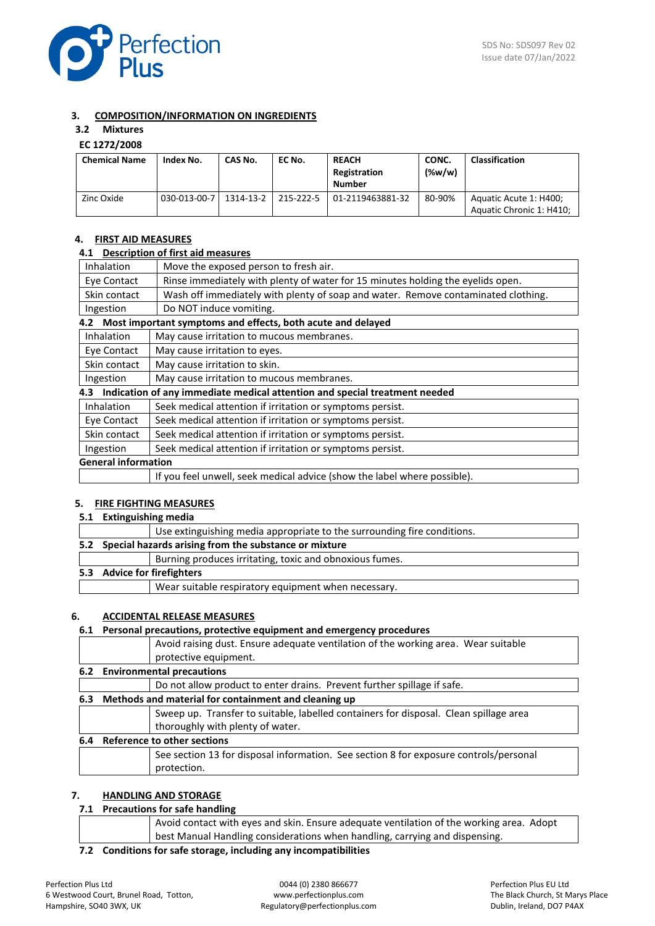

## **3. COMPOSITION/INFORMATION ON INGREDIENTS**

## **3.2 Mixtures**

## **EC 1272/2008**

| <b>Chemical Name</b> | Index No.    | CAS No.   | EC No.    | <b>REACH</b><br>Registration<br><b>Number</b> | CONC.<br>$(\%w/w)$ | <b>Classification</b>                              |
|----------------------|--------------|-----------|-----------|-----------------------------------------------|--------------------|----------------------------------------------------|
| Zinc Oxide           | 030-013-00-7 | 1314-13-2 | 215-222-5 | 01-2119463881-32                              | 80-90%             | Aquatic Acute 1: H400;<br>Aquatic Chronic 1: H410; |

### **4. FIRST AID MEASURES**

#### **4.1 Description of first aid measures**

| Inhalation                                             | Move the exposed person to fresh air.                                             |  |
|--------------------------------------------------------|-----------------------------------------------------------------------------------|--|
| Eye Contact                                            | Rinse immediately with plenty of water for 15 minutes holding the eyelids open.   |  |
| Skin contact                                           | Wash off immediately with plenty of soap and water. Remove contaminated clothing. |  |
| Ingestion                                              | Do NOT induce vomiting.                                                           |  |
| 4.2                                                    | Most important symptoms and effects, both acute and delayed                       |  |
| Inhalation                                             | May cause irritation to mucous membranes.                                         |  |
| Eye Contact                                            | May cause irritation to eyes.                                                     |  |
| Skin contact                                           | May cause irritation to skin.                                                     |  |
| May cause irritation to mucous membranes.<br>Ingestion |                                                                                   |  |
|                                                        | 4.3 Indication of any immediate medical attention and special treatment needed    |  |
| <b>Inhalation</b>                                      | Seek medical attention if irritation or symptoms persist.                         |  |
| Eye Contact                                            | Seek medical attention if irritation or symptoms persist.                         |  |
| Skin contact                                           | Seek medical attention if irritation or symptoms persist.                         |  |
| Ingestion                                              | Seek medical attention if irritation or symptoms persist.                         |  |
| <b>General information</b>                             |                                                                                   |  |
|                                                        | If you feel unwell, seek medical advice (show the label where possible).          |  |

### **5. FIRE FIGHTING MEASURES**

**5.1 Extinguishing media**

| . . |                                                                         |
|-----|-------------------------------------------------------------------------|
|     | Use extinguishing media appropriate to the surrounding fire conditions. |
|     | 5.2 Special hazards arising from the substance or mixture               |
|     | Burning produces irritating, toxic and obnoxious fumes.                 |
|     | 5.3 Advice for firefighters                                             |
|     | Wear suitable respiratory equipment when necessary.                     |
|     |                                                                         |

### **6. ACCIDENTAL RELEASE MEASURES**

## **6.1 Personal precautions, protective equipment and emergency procedures** Avoid raising dust. Ensure adequate ventilation of the working area. Wear suitable protective equipment. **6.2 Environmental precautions** Do not allow product to enter drains. Prevent further spillage if safe. **6.3 Methods and material for containment and cleaning up** Sweep up. Transfer to suitable, labelled containers for disposal. Clean spillage area thoroughly with plenty of water. **6.4 Reference to other sections** See section 13 for disposal information. See section 8 for exposure controls/personal protection.

## **7. HANDLING AND STORAGE**

## **7.1 Precautions for safe handling**

| Avoid contact with eyes and skin. Ensure adequate ventilation of the working area. Adopt |
|------------------------------------------------------------------------------------------|
| best Manual Handling considerations when handling, carrying and dispensing.              |
|                                                                                          |

**7.2 Conditions for safe storage, including any incompatibilities**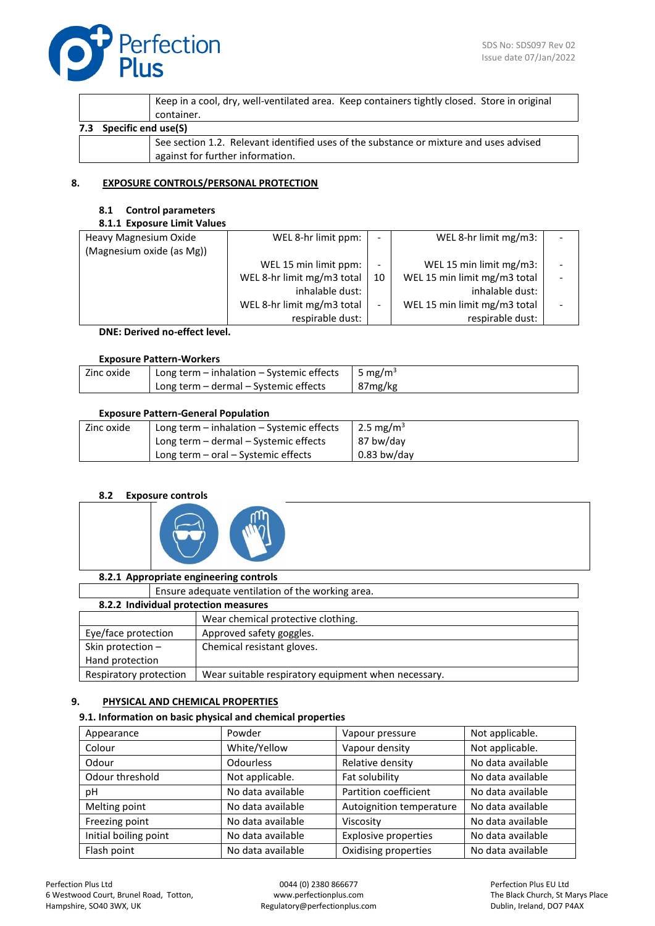

|     |                     | Keep in a cool, dry, well-ventilated area. Keep containers tightly closed. Store in original<br>container. |
|-----|---------------------|------------------------------------------------------------------------------------------------------------|
| 7.3 | Specific end use(S) |                                                                                                            |
|     |                     | See section 1.2. Relevant identified uses of the substance or mixture and uses advised                     |
|     |                     | against for further information.                                                                           |

## **8. EXPOSURE CONTROLS/PERSONAL PROTECTION**

### **8.1 Control parameters**

## **8.1.1 Exposure Limit Values**

| Heavy Magnesium Oxide     | WEL 8-hr limit ppm:        | $\overline{\phantom{0}}$ | WEL 8-hr limit mg/m3:        |  |
|---------------------------|----------------------------|--------------------------|------------------------------|--|
| (Magnesium oxide (as Mg)) |                            |                          |                              |  |
|                           | WEL 15 min limit ppm:      | -                        | WEL 15 min limit mg/m3:      |  |
|                           | WEL 8-hr limit mg/m3 total | 10                       | WEL 15 min limit mg/m3 total |  |
|                           | inhalable dust:            |                          | inhalable dust:              |  |
|                           | WEL 8-hr limit mg/m3 total | -                        | WEL 15 min limit mg/m3 total |  |
|                           | respirable dust:           |                          | respirable dust:             |  |
|                           |                            |                          |                              |  |

**DNE: Derived no-effect level.**

## **Exposure Pattern-Workers**

| Zinc oxide | Long term - inhalation - Systemic effects | 5 mg/m <sup>3</sup> |
|------------|-------------------------------------------|---------------------|
|            | Long term - dermal - Systemic effects     | 87mg/kg             |

## **Exposure Pattern-General Population**

| Zinc oxide | Long term $-$ inhalation $-$ Systemic effects | 2.5 mg/m <sup>3</sup> |
|------------|-----------------------------------------------|-----------------------|
|            | Long term – dermal – Systemic effects         | 87 bw/day             |
|            | Long term $-$ oral $-$ Systemic effects       | $0.83$ bw/day         |

## **8.2 Exposure controls**



| 8.2.1 Appropriate engineering controls                                        |                                                  |                            |  |  |  |
|-------------------------------------------------------------------------------|--------------------------------------------------|----------------------------|--|--|--|
|                                                                               | Ensure adequate ventilation of the working area. |                            |  |  |  |
|                                                                               | 8.2.2 Individual protection measures             |                            |  |  |  |
|                                                                               | Wear chemical protective clothing.               |                            |  |  |  |
| Eye/face protection                                                           |                                                  | Approved safety goggles.   |  |  |  |
| Skin protection -                                                             |                                                  | Chemical resistant gloves. |  |  |  |
| Hand protection                                                               |                                                  |                            |  |  |  |
| Wear suitable respiratory equipment when necessary.<br>Respiratory protection |                                                  |                            |  |  |  |

## **9. PHYSICAL AND CHEMICAL PROPERTIES**

## **9.1. Information on basic physical and chemical properties**

| Appearance                | Powder            | Vapour pressure             | Not applicable.   |
|---------------------------|-------------------|-----------------------------|-------------------|
| Colour                    | White/Yellow      | Vapour density              | Not applicable.   |
| Odour<br><b>Odourless</b> |                   | Relative density            | No data available |
| Odour threshold           | Not applicable.   | Fat solubility              | No data available |
| рH                        | No data available | Partition coefficient       | No data available |
| Melting point             | No data available | Autoignition temperature    | No data available |
| Freezing point            | No data available | Viscosity                   | No data available |
| Initial boiling point     | No data available | <b>Explosive properties</b> | No data available |
| Flash point               | No data available | Oxidising properties        | No data available |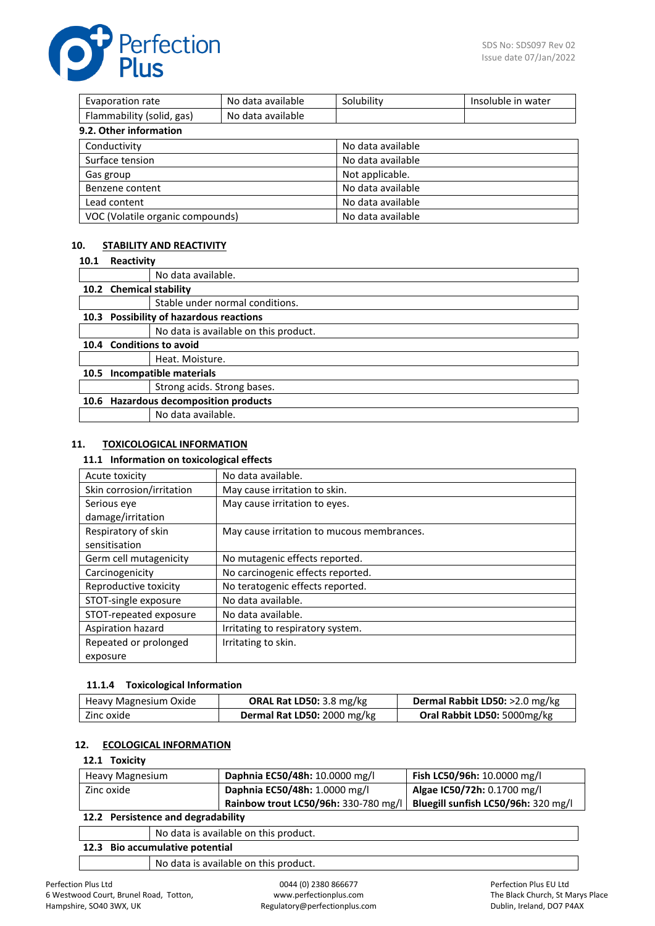

| Evaporation rate                 | No data available | Solubility        | Insoluble in water |  |
|----------------------------------|-------------------|-------------------|--------------------|--|
| Flammability (solid, gas)        | No data available |                   |                    |  |
| 9.2. Other information           |                   |                   |                    |  |
| Conductivity                     |                   | No data available |                    |  |
| Surface tension                  |                   | No data available |                    |  |
| Gas group                        |                   | Not applicable.   |                    |  |
| Benzene content                  |                   | No data available |                    |  |
| Lead content                     |                   | No data available |                    |  |
| VOC (Volatile organic compounds) |                   | No data available |                    |  |

## **10. STABILITY AND REACTIVITY**

| 10.1 | Reactivity              |                                         |
|------|-------------------------|-----------------------------------------|
|      |                         | No data available.                      |
|      | 10.2 Chemical stability |                                         |
|      |                         | Stable under normal conditions.         |
|      |                         | 10.3 Possibility of hazardous reactions |
|      |                         | No data is available on this product.   |
|      |                         | 10.4 Conditions to avoid                |
|      |                         | Heat. Moisture.                         |
|      |                         | 10.5 Incompatible materials             |
|      |                         | Strong acids. Strong bases.             |
|      |                         | 10.6 Hazardous decomposition products   |
|      |                         | No data available.                      |

### **11. TOXICOLOGICAL INFORMATION**

#### **11.1 Information on toxicological effects**

| Acute toxicity            | No data available.                         |
|---------------------------|--------------------------------------------|
| Skin corrosion/irritation | May cause irritation to skin.              |
| Serious eye               | May cause irritation to eyes.              |
| damage/irritation         |                                            |
| Respiratory of skin       | May cause irritation to mucous membrances. |
| sensitisation             |                                            |
| Germ cell mutagenicity    | No mutagenic effects reported.             |
| Carcinogenicity           | No carcinogenic effects reported.          |
| Reproductive toxicity     | No teratogenic effects reported.           |
| STOT-single exposure      | No data available.                         |
| STOT-repeated exposure    | No data available.                         |
| Aspiration hazard         | Irritating to respiratory system.          |
| Repeated or prolonged     | Irritating to skin.                        |
| exposure                  |                                            |

### **11.1.4 Toxicological Information**

| Heavy Magnesium Oxide | <b>ORAL Rat LD50:</b> 3.8 mg/kg | Dermal Rabbit LD50: >2.0 mg/kg |
|-----------------------|---------------------------------|--------------------------------|
| Zinc oxide            | Dermal Rat LD50: 2000 mg/kg     | Oral Rabbit LD50: 5000mg/kg    |

## **12. ECOLOGICAL INFORMATION**

### **12.1 Toxicity**

| Heavy Magnesium                    | Daphnia EC50/48h: 10.0000 mg/l       | Fish LC50/96h: 10.0000 mg/l         |
|------------------------------------|--------------------------------------|-------------------------------------|
| Zinc oxide                         | Daphnia EC50/48h: 1.0000 mg/l        | Algae IC50/72h: 0.1700 mg/l         |
|                                    | Rainbow trout LC50/96h: 330-780 mg/l | Bluegill sunfish LC50/96h: 320 mg/l |
| 12.2 Persistence and degradability |                                      |                                     |
|                                    |                                      |                                     |

No data is available on this product.

**12.3 Bio accumulative potential** No data is available on this product.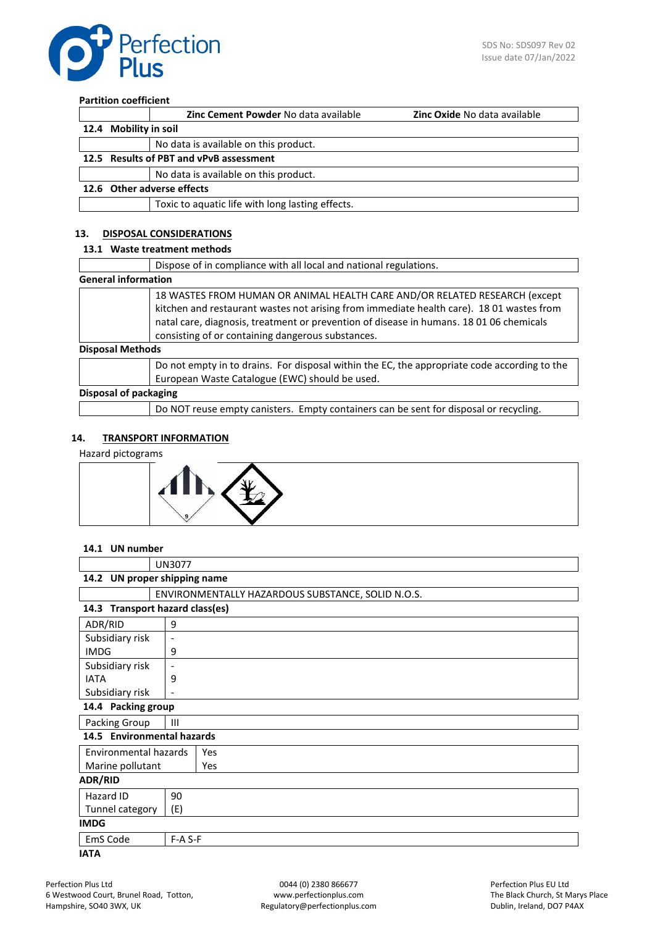

## **Partition coefficient**

|                                         | <b>Zinc Cement Powder No data available</b>      | <b>Zinc Oxide No data available</b> |
|-----------------------------------------|--------------------------------------------------|-------------------------------------|
| 12.4 Mobility in soil                   |                                                  |                                     |
|                                         | No data is available on this product.            |                                     |
| 12.5 Results of PBT and vPvB assessment |                                                  |                                     |
|                                         | No data is available on this product.            |                                     |
| 12.6 Other adverse effects              |                                                  |                                     |
|                                         | Toxic to aquatic life with long lasting effects. |                                     |

## **13. DISPOSAL CONSIDERATIONS**

## **13.1 Waste treatment methods**

|                            | Dispose of in compliance with all local and national regulations.                                                                                                                                                                                                                                                      |
|----------------------------|------------------------------------------------------------------------------------------------------------------------------------------------------------------------------------------------------------------------------------------------------------------------------------------------------------------------|
| <b>General information</b> |                                                                                                                                                                                                                                                                                                                        |
|                            | 18 WASTES FROM HUMAN OR ANIMAL HEALTH CARE AND/OR RELATED RESEARCH (except<br>kitchen and restaurant wastes not arising from immediate health care). 18 01 wastes from<br>natal care, diagnosis, treatment or prevention of disease in humans. 18 01 06 chemicals<br>consisting of or containing dangerous substances. |
| <b>Disposal Methods</b>    |                                                                                                                                                                                                                                                                                                                        |
|                            | Do not empty in to drains. For disposal within the EC, the appropriate code according to the<br>European Waste Catalogue (EWC) should be used.                                                                                                                                                                         |
| Disposal of packaging      |                                                                                                                                                                                                                                                                                                                        |

Do NOT reuse empty canisters. Empty containers can be sent for disposal or recycling.

### **14. TRANSPORT INFORMATION**

#### Hazard pictograms



## **14.1 UN number**

|                                             | <b>UN3077</b>                |                                                   |  |  |
|---------------------------------------------|------------------------------|---------------------------------------------------|--|--|
|                                             | 14.2 UN proper shipping name |                                                   |  |  |
|                                             |                              | ENVIRONMENTALLY HAZARDOUS SUBSTANCE, SOLID N.O.S. |  |  |
| 14.3 Transport hazard class(es)             |                              |                                                   |  |  |
| ADR/RID                                     | 9                            |                                                   |  |  |
| Subsidiary risk                             | $\overline{\phantom{a}}$     |                                                   |  |  |
| <b>IMDG</b>                                 | 9                            |                                                   |  |  |
| Subsidiary risk<br>$\overline{\phantom{a}}$ |                              |                                                   |  |  |
| <b>IATA</b><br>9                            |                              |                                                   |  |  |
| Subsidiary risk<br>$\overline{\phantom{a}}$ |                              |                                                   |  |  |
| 14.4 Packing group                          |                              |                                                   |  |  |
| Packing Group                               | Ш                            |                                                   |  |  |
| 14.5 Environmental hazards                  |                              |                                                   |  |  |
| Environmental hazards<br>Yes                |                              |                                                   |  |  |
| Marine pollutant                            |                              | Yes                                               |  |  |
| <b>ADR/RID</b>                              |                              |                                                   |  |  |
| Hazard ID                                   | 90                           |                                                   |  |  |
| Tunnel category                             | (E)                          |                                                   |  |  |
| <b>IMDG</b>                                 |                              |                                                   |  |  |
| EmS Code                                    | $F-A S-F$                    |                                                   |  |  |
| <b>IATA</b>                                 |                              |                                                   |  |  |